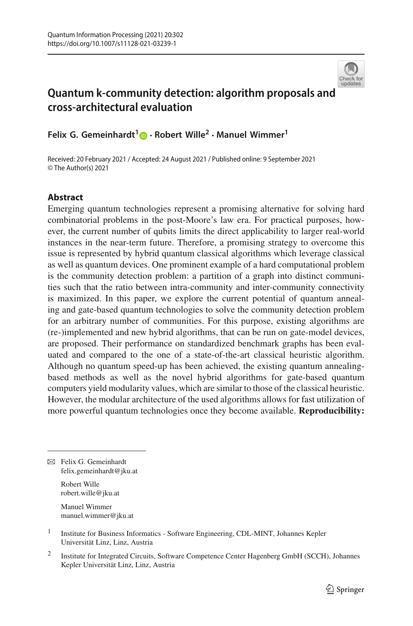

# **Quantum k-community detection: algorithm proposals and cross-architectural evaluation**

**Felix G. Gemeinhardt[1](http://orcid.org/0000-0001-7589-8263) · Robert Wille2 · Manuel Wimmer<sup>1</sup>**

Received: 20 February 2021 / Accepted: 24 August 2021 / Published online: 9 September 2021 © The Author(s) 2021

### **Abstract**

Emerging quantum technologies represent a promising alternative for solving hard combinatorial problems in the post-Moore's law era. For practical purposes, however, the current number of qubits limits the direct applicability to larger real-world instances in the near-term future. Therefore, a promising strategy to overcome this issue is represented by hybrid quantum classical algorithms which leverage classical as well as quantum devices. One prominent example of a hard computational problem is the community detection problem: a partition of a graph into distinct communities such that the ratio between intra-community and inter-community connectivity is maximized. In this paper, we explore the current potential of quantum annealing and gate-based quantum technologies to solve the community detection problem for an arbitrary number of communities. For this purpose, existing algorithms are (re-)implemented and new hybrid algorithms, that can be run on gate-model devices, are proposed. Their performance on standardized benchmark graphs has been evaluated and compared to the one of a state-of-the-art classical heuristic algorithm. Although no quantum speed-up has been achieved, the existing quantum annealingbased methods as well as the novel hybrid algorithms for gate-based quantum computers yield modularity values, which are similar to those of the classical heuristic. However, the modular architecture of the used algorithms allows for fast utilization of more powerful quantum technologies once they become available. **Reproducibility:**

B Felix G. Gemeinhardt felix.gemeinhardt@jku.at

> Robert Wille robert.wille@jku.at

Manuel Wimmer manuel.wimmer@jku.at

<sup>1</sup> Institute for Business Informatics - Software Engineering, CDL-MINT, Johannes Kepler Universität Linz, Linz, Austria

<sup>2</sup> Institute for Integrated Circuits, Software Competence Center Hagenberg GmbH (SCCH), Johannes Kepler Universität Linz, Linz, Austria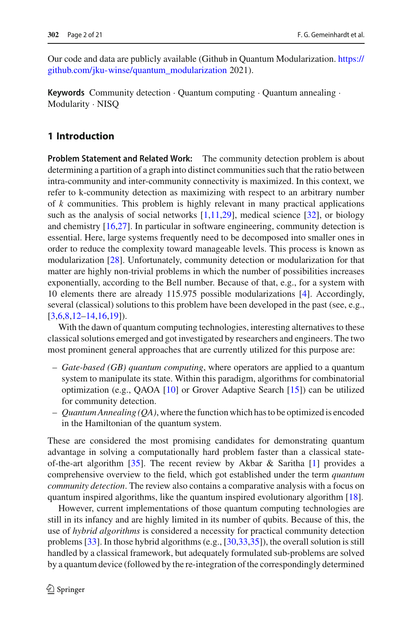Our code and data are publicly available (Github in Quantum Modularization. [https://](https://github.com/jku-win se/quantum_modularization) [github.com/jku-winse/quantum\\_modularization](https://github.com/jku-win se/quantum_modularization) 2021).

**Keywords** Community detection · Quantum computing · Quantum annealing · Modularity · NISQ

### **1 Introduction**

**Problem Statement and Related Work:** The community detection problem is about determining a partition of a graph into distinct communities such that the ratio between intra-community and inter-community connectivity is maximized. In this context, we refer to k-community detection as maximizing with respect to an arbitrary number of *k* communities. This problem is highly relevant in many practical applications such as the analysis of social networks  $[1,11,29]$  $[1,11,29]$  $[1,11,29]$ , medical science  $[32]$ , or biology and chemistry [\[16](#page-19-2)[,27](#page-19-3)]. In particular in software engineering, community detection is essential. Here, large systems frequently need to be decomposed into smaller ones in order to reduce the complexity toward manageable levels. This process is known as modularization [\[28](#page-19-4)]. Unfortunately, community detection or modularization for that matter are highly non-trivial problems in which the number of possibilities increases exponentially, according to the Bell number. Because of that, e.g., for a system with 10 elements there are already 115.975 possible modularizations [\[4\]](#page-18-1). Accordingly, several (classical) solutions to this problem have been developed in the past (see, e.g.,  $[3,6,8,12-14,16,19]$  $[3,6,8,12-14,16,19]$  $[3,6,8,12-14,16,19]$  $[3,6,8,12-14,16,19]$  $[3,6,8,12-14,16,19]$  $[3,6,8,12-14,16,19]$  $[3,6,8,12-14,16,19]$  $[3,6,8,12-14,16,19]$ .

With the dawn of quantum computing technologies, interesting alternatives to these classical solutions emerged and got investigated by researchers and engineers. The two most prominent general approaches that are currently utilized for this purpose are:

- *Gate-based (GB) quantum computing*, where operators are applied to a quantum system to manipulate its state. Within this paradigm, algorithms for combinatorial optimization (e.g., QAOA [\[10\]](#page-19-9) or Grover Adaptive Search [\[15\]](#page-19-10)) can be utilized for community detection.
- *Quantum Annealing (QA)*, where the function which has to be optimized is encoded in the Hamiltonian of the quantum system.

These are considered the most promising candidates for demonstrating quantum advantage in solving a computationally hard problem faster than a classical state-of-the-art algorithm [\[35](#page-20-1)]. The recent review by Akbar & Saritha [\[1](#page-18-0)] provides a comprehensive overview to the field, which got established under the term *quantum community detection*. The review also contains a comparative analysis with a focus on quantum inspired algorithms, like the quantum inspired evolutionary algorithm [\[18](#page-19-11)].

However, current implementations of those quantum computing technologies are still in its infancy and are highly limited in its number of qubits. Because of this, the use of *hybrid algorithms* is considered a necessity for practical community detection problems [\[33\]](#page-20-2). In those hybrid algorithms (e.g., [\[30](#page-19-12)[,33](#page-20-2)[,35](#page-20-1)]), the overall solution is still handled by a classical framework, but adequately formulated sub-problems are solved by a quantum device (followed by the re-integration of the correspondingly determined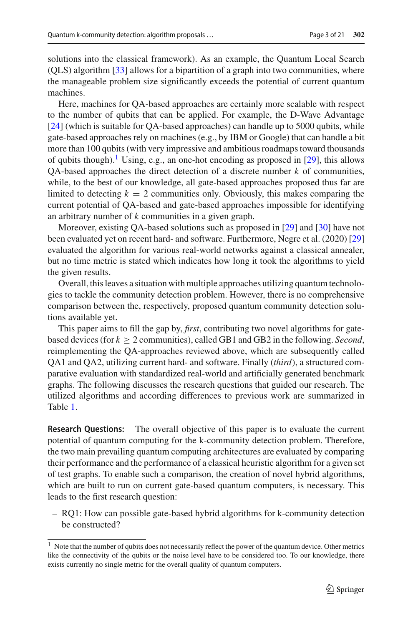solutions into the classical framework). As an example, the Quantum Local Search (QLS) algorithm [\[33\]](#page-20-2) allows for a bipartition of a graph into two communities, where the manageable problem size significantly exceeds the potential of current quantum machines.

Here, machines for QA-based approaches are certainly more scalable with respect to the number of qubits that can be applied. For example, the D-Wave Advantage [\[24](#page-19-13)] (which is suitable for QA-based approaches) can handle up to 5000 qubits, while gate-based approaches rely on machines (e.g., by IBM or Google) that can handle a bit more than 100 qubits (with very impressive and ambitious roadmaps toward thousands of qubits though).<sup>[1](#page-2-0)</sup> Using, e.g., an one-hot encoding as proposed in [\[29\]](#page-19-1), this allows QA-based approaches the direct detection of a discrete number *k* of communities, while, to the best of our knowledge, all gate-based approaches proposed thus far are limited to detecting  $k = 2$  communities only. Obviously, this makes comparing the current potential of QA-based and gate-based approaches impossible for identifying an arbitrary number of *k* communities in a given graph.

Moreover, existing QA-based solutions such as proposed in [\[29](#page-19-1)] and [\[30\]](#page-19-12) have not been evaluated yet on recent hard- and software. Furthermore, Negre et al. (2020) [\[29\]](#page-19-1) evaluated the algorithm for various real-world networks against a classical annealer, but no time metric is stated which indicates how long it took the algorithms to yield the given results.

Overall, this leaves a situation with multiple approaches utilizing quantum technologies to tackle the community detection problem. However, there is no comprehensive comparison between the, respectively, proposed quantum community detection solutions available yet.

This paper aims to fill the gap by, *first*, contributing two novel algorithms for gatebased devices (for  $k \geq 2$  communities), called GB1 and GB2 in the following. *Second*, reimplementing the QA-approaches reviewed above, which are subsequently called QA1 and QA2, utilizing current hard- and software. Finally (*third*), a structured comparative evaluation with standardized real-world and artificially generated benchmark graphs. The following discusses the research questions that guided our research. The utilized algorithms and according differences to previous work are summarized in Table [1.](#page-3-0)

**Research Questions:** The overall objective of this paper is to evaluate the current potential of quantum computing for the k-community detection problem. Therefore, the two main prevailing quantum computing architectures are evaluated by comparing their performance and the performance of a classical heuristic algorithm for a given set of test graphs. To enable such a comparison, the creation of novel hybrid algorithms, which are built to run on current gate-based quantum computers, is necessary. This leads to the first research question:

– RQ1: How can possible gate-based hybrid algorithms for k-community detection be constructed?

<span id="page-2-0"></span><sup>&</sup>lt;sup>1</sup> Note that the number of qubits does not necessarily reflect the power of the quantum device. Other metrics like the connectivity of the qubits or the noise level have to be considered too. To our knowledge, there exists currently no single metric for the overall quality of quantum computers.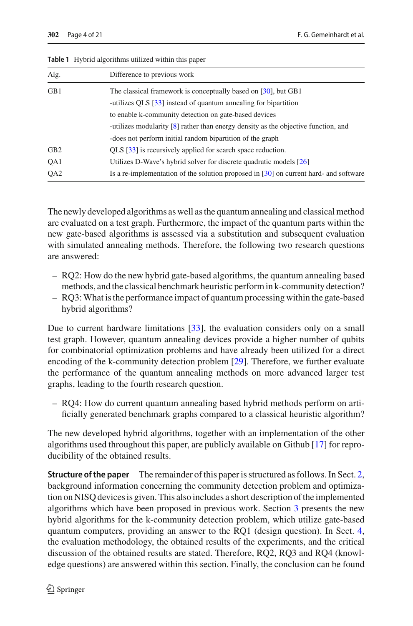| Alg.            | Difference to previous work                                                                                              |
|-----------------|--------------------------------------------------------------------------------------------------------------------------|
| GB1             | The classical framework is conceptually based on [30], but GB1                                                           |
|                 | -utilizes QLS [33] instead of quantum annealing for bipartition<br>to enable k-community detection on gate-based devices |
|                 | -utilizes modularity [8] rather than energy density as the objective function, and                                       |
|                 | -does not perform initial random bipartition of the graph                                                                |
| GB <sub>2</sub> | QLS [33] is recursively applied for search space reduction.                                                              |
| QA1             | Utilizes D-Wave's hybrid solver for discrete quadratic models [26]                                                       |
| QA <sub>2</sub> | Is a re-implementation of the solution proposed in $[30]$ on current hard- and software                                  |

<span id="page-3-0"></span>**Table 1** Hybrid algorithms utilized within this paper

The newly developed algorithms as well as the quantum annealing and classical method are evaluated on a test graph. Furthermore, the impact of the quantum parts within the new gate-based algorithms is assessed via a substitution and subsequent evaluation with simulated annealing methods. Therefore, the following two research questions are answered:

- RQ2: How do the new hybrid gate-based algorithms, the quantum annealing based methods, and the classical benchmark heuristic perform in k-community detection?
- RQ3:What is the performance impact of quantum processing within the gate-based hybrid algorithms?

Due to current hardware limitations [\[33](#page-20-2)], the evaluation considers only on a small test graph. However, quantum annealing devices provide a higher number of qubits for combinatorial optimization problems and have already been utilized for a direct encoding of the k-community detection problem [\[29](#page-19-1)]. Therefore, we further evaluate the performance of the quantum annealing methods on more advanced larger test graphs, leading to the fourth research question.

– RQ4: How do current quantum annealing based hybrid methods perform on artificially generated benchmark graphs compared to a classical heuristic algorithm?

The new developed hybrid algorithms, together with an implementation of the other algorithms used throughout this paper, are publicly available on Github [\[17\]](#page-19-15) for reproducibility of the obtained results.

**Structure of the paper** The remainder of this paper is structured as follows. In Sect. [2,](#page-4-0) background information concerning the community detection problem and optimization on NISQ devices is given. This also includes a short description of the implemented algorithms which have been proposed in previous work. Section [3](#page-6-0) presents the new hybrid algorithms for the k-community detection problem, which utilize gate-based quantum computers, providing an answer to the RQ1 (design question). In Sect. [4,](#page-8-0) the evaluation methodology, the obtained results of the experiments, and the critical discussion of the obtained results are stated. Therefore, RQ2, RQ3 and RQ4 (knowledge questions) are answered within this section. Finally, the conclusion can be found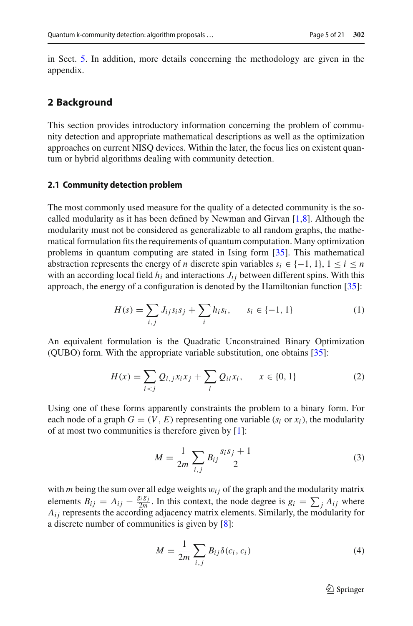in Sect. [5.](#page-14-0) In addition, more details concerning the methodology are given in the appendix.

#### <span id="page-4-0"></span>**2 Background**

This section provides introductory information concerning the problem of community detection and appropriate mathematical descriptions as well as the optimization approaches on current NISQ devices. Within the later, the focus lies on existent quantum or hybrid algorithms dealing with community detection.

#### <span id="page-4-3"></span>**2.1 Community detection problem**

The most commonly used measure for the quality of a detected community is the socalled modularity as it has been defined by Newman and Girvan [\[1](#page-18-0)[,8\]](#page-19-5). Although the modularity must not be considered as generalizable to all random graphs, the mathematical formulation fits the requirements of quantum computation. Many optimization problems in quantum computing are stated in Ising form [\[35](#page-20-1)]. This mathematical abstraction represents the energy of *n* discrete spin variables  $s_i \in \{-1, 1\}, 1 \le i \le n$ with an according local field  $h_i$  and interactions  $J_{ij}$  between different spins. With this approach, the energy of a configuration is denoted by the Hamiltonian function [\[35\]](#page-20-1):

<span id="page-4-1"></span>
$$
H(s) = \sum_{i,j} J_{ij} s_i s_j + \sum_i h_i s_i, \qquad s_i \in \{-1, 1\}
$$
 (1)

An equivalent formulation is the Quadratic Unconstrained Binary Optimization (QUBO) form. With the appropriate variable substitution, one obtains [\[35](#page-20-1)]:

$$
H(x) = \sum_{i < j} Q_{i,j} x_i x_j + \sum_i Q_{ii} x_i, \qquad x \in \{0, 1\} \tag{2}
$$

Using one of these forms apparently constraints the problem to a binary form. For each node of a graph  $G = (V, E)$  representing one variable ( $s_i$  or  $x_i$ ), the modularity of at most two communities is therefore given by [\[1\]](#page-18-0):

$$
M = \frac{1}{2m} \sum_{i,j} B_{ij} \frac{s_i s_j + 1}{2}
$$
 (3)

with  $m$  being the sum over all edge weights  $w_{ij}$  of the graph and the modularity matrix elements  $B_{ij} = A_{ij} - \frac{g_i g_j}{2m}$ . In this context, the node degree is  $g_i = \sum_j A_{ij}$  where  $A_{ij}$  represents the according adjacency matrix elements. Similarly, the modularity for a discrete number of communities is given by [\[8\]](#page-19-5):

<span id="page-4-2"></span>
$$
M = \frac{1}{2m} \sum_{i,j} B_{ij} \delta(c_i, c_i)
$$
 (4)

 $\mathcal{D}$  Springer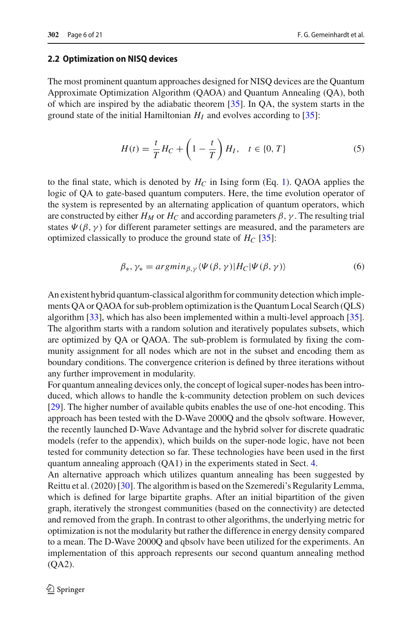#### **2.2 Optimization on NISQ devices**

The most prominent quantum approaches designed for NISQ devices are the Quantum Approximate Optimization Algorithm (QAOA) and Quantum Annealing (QA), both of which are inspired by the adiabatic theorem [\[35](#page-20-1)]. In QA, the system starts in the ground state of the initial Hamiltonian  $H_I$  and evolves according to [\[35\]](#page-20-1):

$$
H(t) = \frac{t}{T} H_C + \left(1 - \frac{t}{T}\right) H_I, \quad t \in \{0, T\}
$$
 (5)

to the final state, which is denoted by  $H_C$  in Ising form (Eq. [1\)](#page-4-1). QAOA applies the logic of QA to gate-based quantum computers. Here, the time evolution operator of the system is represented by an alternating application of quantum operators, which are constructed by either  $H_M$  or  $H_C$  and according parameters  $\beta$ ,  $\gamma$ . The resulting trial states  $\Psi(\beta, \gamma)$  for different parameter settings are measured, and the parameters are optimized classically to produce the ground state of  $H_C$  [\[35\]](#page-20-1):

$$
\beta_*, \gamma_* = \operatorname{argmin}_{\beta, \gamma} \langle \Psi(\beta, \gamma) | H_C | \Psi(\beta, \gamma) \rangle \tag{6}
$$

An existent hybrid quantum-classical algorithm for community detection which implements QA or QAOA for sub-problem optimization is the Quantum Local Search (QLS) algorithm [\[33](#page-20-2)], which has also been implemented within a multi-level approach [\[35](#page-20-1)]. The algorithm starts with a random solution and iteratively populates subsets, which are optimized by QA or QAOA. The sub-problem is formulated by fixing the community assignment for all nodes which are not in the subset and encoding them as boundary conditions. The convergence criterion is defined by three iterations without any further improvement in modularity.

For quantum annealing devices only, the concept of logical super-nodes has been introduced, which allows to handle the k-community detection problem on such devices [\[29](#page-19-1)]. The higher number of available qubits enables the use of one-hot encoding. This approach has been tested with the D-Wave 2000Q and the qbsolv software. However, the recently launched D-Wave Advantage and the hybrid solver for discrete quadratic models (refer to the appendix), which builds on the super-node logic, have not been tested for community detection so far. These technologies have been used in the first quantum annealing approach (QA1) in the experiments stated in Sect. [4.](#page-8-0)

An alternative approach which utilizes quantum annealing has been suggested by Reittu et al. (2020) [\[30](#page-19-12)]. The algorithm is based on the Szemeredi's Regularity Lemma, which is defined for large bipartite graphs. After an initial bipartition of the given graph, iteratively the strongest communities (based on the connectivity) are detected and removed from the graph. In contrast to other algorithms, the underlying metric for optimization is not the modularity but rather the difference in energy density compared to a mean. The D-Wave 2000Q and qbsolv have been utilized for the experiments. An implementation of this approach represents our second quantum annealing method (QA2).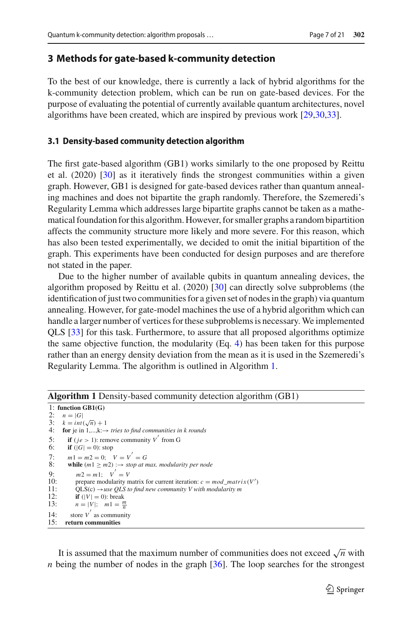#### <span id="page-6-0"></span>**3 Methods for gate-based k-community detection**

To the best of our knowledge, there is currently a lack of hybrid algorithms for the k-community detection problem, which can be run on gate-based devices. For the purpose of evaluating the potential of currently available quantum architectures, novel algorithms have been created, which are inspired by previous work [\[29](#page-19-1)[,30](#page-19-12)[,33\]](#page-20-2).

#### **3.1 Density-based community detection algorithm**

The first gate-based algorithm (GB1) works similarly to the one proposed by Reittu et al. (2020) [\[30\]](#page-19-12) as it iteratively finds the strongest communities within a given graph. However, GB1 is designed for gate-based devices rather than quantum annealing machines and does not bipartite the graph randomly. Therefore, the Szemeredi's Regularity Lemma which addresses large bipartite graphs cannot be taken as a mathematical foundation for this algorithm. However, for smaller graphs a random bipartition affects the community structure more likely and more severe. For this reason, which has also been tested experimentally, we decided to omit the initial bipartition of the graph. This experiments have been conducted for design purposes and are therefore not stated in the paper.

Due to the higher number of available qubits in quantum annealing devices, the algorithm proposed by Reittu et al. (2020) [\[30](#page-19-12)] can directly solve subproblems (the identification of just two communities for a given set of nodes in the graph) via quantum annealing. However, for gate-model machines the use of a hybrid algorithm which can handle a larger number of vertices for these subproblems is necessary.We implemented QLS [\[33\]](#page-20-2) for this task. Furthermore, to assure that all proposed algorithms optimize the same objective function, the modularity  $(Eq. 4)$  $(Eq. 4)$  has been taken for this purpose rather than an energy density deviation from the mean as it is used in the Szemeredi's Regularity Lemma. The algorithm is outlined in Algorithm [1.](#page-6-1)

| $\mathbf{r}$ , and $\mathbf{r}$ is a set of $\mathbf{r}$ , and $\mathbf{r}$ and $\mathbf{r}$ are $\mathbf{r}$ are $\mathbf{r}$ and $\mathbf{r}$ are $\mathbf{r}$ and $\mathbf{r}$ are $\mathbf{r}$ are $\mathbf{r}$ and $\mathbf{r}$ are $\mathbf{r}$ are $\mathbf{r}$ and $\mathbf{r}$ are |
|---------------------------------------------------------------------------------------------------------------------------------------------------------------------------------------------------------------------------------------------------------------------------------------------|
| 1: function $GB1(G)$                                                                                                                                                                                                                                                                        |
| 2:<br>$n= G $                                                                                                                                                                                                                                                                               |
| 3: $k = int(\sqrt{n}) + 1$                                                                                                                                                                                                                                                                  |
| 4:<br>for je in $1,,k \rightarrow$ tries to find communities in k rounds                                                                                                                                                                                                                    |
| <b>if</b> ( <i>ie</i> > 1): remove community V from G<br>5:                                                                                                                                                                                                                                 |
| 6:<br><b>if</b> $( G  = 0)$ : stop                                                                                                                                                                                                                                                          |
| $m1 = m2 = 0;$ $V = V' = G$<br>7:                                                                                                                                                                                                                                                           |
| 8:<br>while $(m1 \ge m2)$ : $\rightarrow$ stop at max. modularity per node                                                                                                                                                                                                                  |
| $m2 = m1$ : $V' = V$<br>Q <sub>1</sub>                                                                                                                                                                                                                                                      |
| 10:<br>prepare modularity matrix for current iteration: $c = mod$ matrix(V')                                                                                                                                                                                                                |
| 11:<br>$OLS(c) \rightarrow use OLS$ to find new community V with modularity m                                                                                                                                                                                                               |
| 12:<br>if $( V  = 0)$ : break                                                                                                                                                                                                                                                               |
| 13:<br>$n =  V $ ; $m1 = \frac{m}{n}$                                                                                                                                                                                                                                                       |
| store $V'$ as community<br>14:                                                                                                                                                                                                                                                              |
| 15:<br>return communities                                                                                                                                                                                                                                                                   |

#### <span id="page-6-1"></span>**Algorithm 1** Density-based community detection algorithm (GB1)

It is assumed that the maximum number of communities does not exceed  $\sqrt{n}$  with *n* being the number of nodes in the graph [\[36\]](#page-20-3). The loop searches for the strongest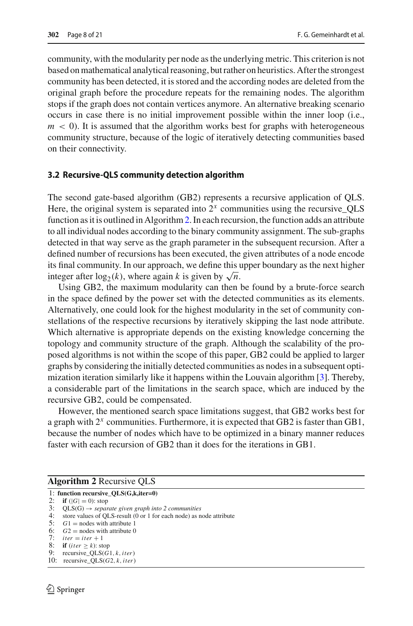community, with the modularity per node as the underlying metric. This criterion is not based on mathematical analytical reasoning, but rather on heuristics. After the strongest community has been detected, it is stored and the according nodes are deleted from the original graph before the procedure repeats for the remaining nodes. The algorithm stops if the graph does not contain vertices anymore. An alternative breaking scenario occurs in case there is no initial improvement possible within the inner loop (i.e.,  $m < 0$ ). It is assumed that the algorithm works best for graphs with heterogeneous community structure, because of the logic of iteratively detecting communities based on their connectivity.

#### **3.2 Recursive-QLS community detection algorithm**

The second gate-based algorithm (GB2) represents a recursive application of QLS. Here, the original system is separated into  $2<sup>x</sup>$  communities using the recursive  $QLS$ function as it is outlined in Algorithm[2.](#page-7-0) In each recursion, the function adds an attribute to all individual nodes according to the binary community assignment. The sub-graphs detected in that way serve as the graph parameter in the subsequent recursion. After a defined number of recursions has been executed, the given attributes of a node encode its final community. In our approach, we define this upper boundary as the next higher integer after  $log_2(k)$ , where again *k* is given by  $\sqrt{n}$ .

Using GB2, the maximum modularity can then be found by a brute-force search in the space defined by the power set with the detected communities as its elements. Alternatively, one could look for the highest modularity in the set of community constellations of the respective recursions by iteratively skipping the last node attribute. Which alternative is appropriate depends on the existing knowledge concerning the topology and community structure of the graph. Although the scalability of the proposed algorithms is not within the scope of this paper, GB2 could be applied to larger graphs by considering the initially detected communities as nodes in a subsequent optimization iteration similarly like it happens within the Louvain algorithm [\[3](#page-18-2)]. Thereby, a considerable part of the limitations in the search space, which are induced by the recursive GB2, could be compensated.

However, the mentioned search space limitations suggest, that GB2 works best for a graph with 2*<sup>x</sup>* communities. Furthermore, it is expected that GB2 is faster than GB1, because the number of nodes which have to be optimized in a binary manner reduces faster with each recursion of GB2 than it does for the iterations in GB1.

<span id="page-7-0"></span>

| <b>Algorithm 2 Recursive QLS</b> |  |  |
|----------------------------------|--|--|
|----------------------------------|--|--|

- 1: **function recursive\_QLS(G,k,iter=0)**
- 
- 2: **if**  $(|G| = 0)$ : stop<br>3: QLS(G)  $\rightarrow$  *separate given graph into 2 communities*
- 4: store values of QLS-result (0 or 1 for each node) as node attribute
- 5:  $G1$  = nodes with attribute 1
- 6:  $G2 = \text{nodes with attribute 0}$ <br>7:  $iter = iter + 1$
- 
- 8: **if** (*iter*  $\geq k$ ): stop
- 9: recursive\_QLS(*G*1, *k*,*iter*)
- 10: recursive\_QLS(*G*2, *k*,*iter*)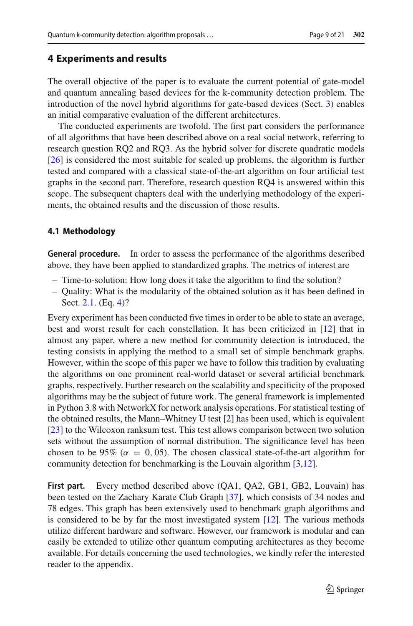### <span id="page-8-0"></span>**4 Experiments and results**

The overall objective of the paper is to evaluate the current potential of gate-model and quantum annealing based devices for the k-community detection problem. The introduction of the novel hybrid algorithms for gate-based devices (Sect. [3\)](#page-6-0) enables an initial comparative evaluation of the different architectures.

The conducted experiments are twofold. The first part considers the performance of all algorithms that have been described above on a real social network, referring to research question RQ2 and RQ3. As the hybrid solver for discrete quadratic models [\[26](#page-19-14)] is considered the most suitable for scaled up problems, the algorithm is further tested and compared with a classical state-of-the-art algorithm on four artificial test graphs in the second part. Therefore, research question RQ4 is answered within this scope. The subsequent chapters deal with the underlying methodology of the experiments, the obtained results and the discussion of those results.

#### **4.1 Methodology**

**General procedure.** In order to assess the performance of the algorithms described above, they have been applied to standardized graphs. The metrics of interest are

- Time-to-solution: How long does it take the algorithm to find the solution?
- Quality: What is the modularity of the obtained solution as it has been defined in Sect. [2.1.](#page-4-3) (Eq. [4\)](#page-4-2)?

Every experiment has been conducted five times in order to be able to state an average, best and worst result for each constellation. It has been criticized in [\[12\]](#page-19-6) that in almost any paper, where a new method for community detection is introduced, the testing consists in applying the method to a small set of simple benchmark graphs. However, within the scope of this paper we have to follow this tradition by evaluating the algorithms on one prominent real-world dataset or several artificial benchmark graphs, respectively. Further research on the scalability and specificity of the proposed algorithms may be the subject of future work. The general framework is implemented in Python 3.8 with NetworkX for network analysis operations. For statistical testing of the obtained results, the Mann–Whitney U test [\[2\]](#page-18-4) has been used, which is equivalent [\[23](#page-19-16)] to the Wilcoxon ranksum test. This test allows comparison between two solution sets without the assumption of normal distribution. The significance level has been chosen to be 95% ( $\alpha = 0,05$ ). The chosen classical state-of-the-art algorithm for community detection for benchmarking is the Louvain algorithm [\[3](#page-18-2)[,12](#page-19-6)].

**First part.** Every method described above (QA1, QA2, GB1, GB2, Louvain) has been tested on the Zachary Karate Club Graph [\[37\]](#page-20-4), which consists of 34 nodes and 78 edges. This graph has been extensively used to benchmark graph algorithms and is considered to be by far the most investigated system [\[12](#page-19-6)]. The various methods utilize different hardware and software. However, our framework is modular and can easily be extended to utilize other quantum computing architectures as they become available. For details concerning the used technologies, we kindly refer the interested reader to the appendix.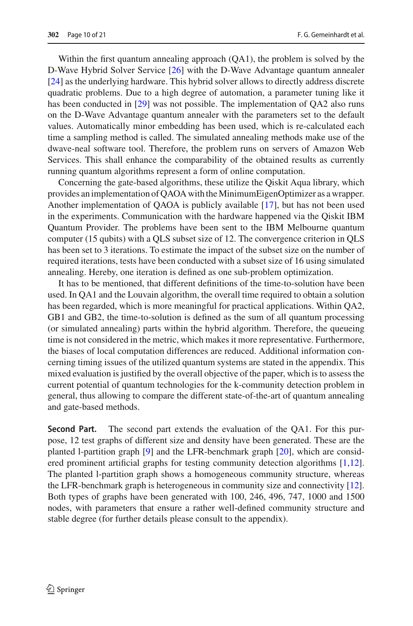Within the first quantum annealing approach (QA1), the problem is solved by the D-Wave Hybrid Solver Service [\[26\]](#page-19-14) with the D-Wave Advantage quantum annealer [\[24](#page-19-13)] as the underlying hardware. This hybrid solver allows to directly address discrete quadratic problems. Due to a high degree of automation, a parameter tuning like it has been conducted in [\[29](#page-19-1)] was not possible. The implementation of QA2 also runs on the D-Wave Advantage quantum annealer with the parameters set to the default values. Automatically minor embedding has been used, which is re-calculated each time a sampling method is called. The simulated annealing methods make use of the dwave-neal software tool. Therefore, the problem runs on servers of Amazon Web Services. This shall enhance the comparability of the obtained results as currently running quantum algorithms represent a form of online computation.

Concerning the gate-based algorithms, these utilize the Qiskit Aqua library, which provides an implementation of QAOA with theMinimumEigenOptimizer as a wrapper. Another implementation of QAOA is publicly available [\[17](#page-19-15)], but has not been used in the experiments. Communication with the hardware happened via the Qiskit IBM Quantum Provider. The problems have been sent to the IBM Melbourne quantum computer (15 qubits) with a QLS subset size of 12. The convergence criterion in QLS has been set to 3 iterations. To estimate the impact of the subset size on the number of required iterations, tests have been conducted with a subset size of 16 using simulated annealing. Hereby, one iteration is defined as one sub-problem optimization.

It has to be mentioned, that different definitions of the time-to-solution have been used. In QA1 and the Louvain algorithm, the overall time required to obtain a solution has been regarded, which is more meaningful for practical applications. Within QA2, GB1 and GB2, the time-to-solution is defined as the sum of all quantum processing (or simulated annealing) parts within the hybrid algorithm. Therefore, the queueing time is not considered in the metric, which makes it more representative. Furthermore, the biases of local computation differences are reduced. Additional information concerning timing issues of the utilized quantum systems are stated in the appendix. This mixed evaluation is justified by the overall objective of the paper, which is to assess the current potential of quantum technologies for the k-community detection problem in general, thus allowing to compare the different state-of-the-art of quantum annealing and gate-based methods.

**Second Part.** The second part extends the evaluation of the QA1. For this purpose, 12 test graphs of different size and density have been generated. These are the planted l-partition graph [\[9](#page-19-17)] and the LFR-benchmark graph [\[20](#page-19-18)], which are considered prominent artificial graphs for testing community detection algorithms [\[1](#page-18-0)[,12](#page-19-6)]. The planted l-partition graph shows a homogeneous community structure, whereas the LFR-benchmark graph is heterogeneous in community size and connectivity [\[12](#page-19-6)]. Both types of graphs have been generated with 100, 246, 496, 747, 1000 and 1500 nodes, with parameters that ensure a rather well-defined community structure and stable degree (for further details please consult to the appendix).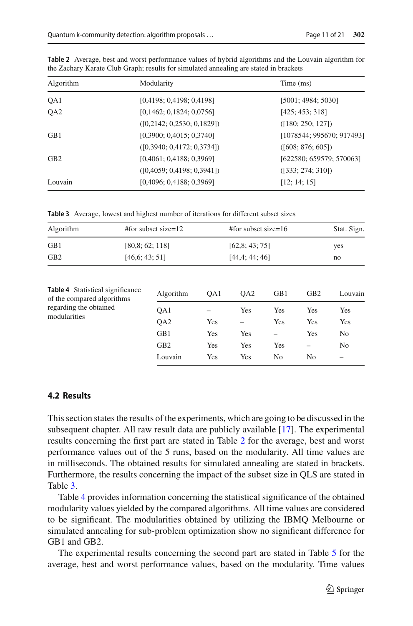| Algorithm       | Modularity                    | Time (ms)                 |
|-----------------|-------------------------------|---------------------------|
| QA1             | [0,4198; 0,4198; 0,4198]      | [5001; 4984; 5030]        |
| QA <sub>2</sub> | [0,1462; 0,1824; 0,0756]      | [425; 453; 318]           |
|                 | ([0, 2142; 0, 2530; 0, 1829]) | ([180; 250; 127])         |
| GB <sub>1</sub> | [0,3900; 0,4015; 0,3740]      | [1078544; 995670; 917493] |
|                 | ([0,3940; 0,4172; 0,3734])    | ([608; 876; 605])         |
| GB2             | [0,4061; 0,4188; 0,3969]      | [622580; 659579; 570063]  |
|                 | ([0,4059; 0,4198; 0,3941])    | ([333; 274; 310])         |
| Louvain         | [0,4096; 0,4188; 0,3969]      | [12; 14; 15]              |

<span id="page-10-0"></span>**Table 2** Average, best and worst performance values of hybrid algorithms and the Louvain algorithm for the Zachary Karate Club Graph; results for simulated annealing are stated in brackets

<span id="page-10-1"></span>**Table 3** Average, lowest and highest number of iterations for different subset sizes

<span id="page-10-2"></span>

| Algorithm                                                                                                       | $#$ for subset size=12 |                 | #for subset size= $16$ |                 |                          |                          | Stat. Sign.<br>yes<br>no |  |
|-----------------------------------------------------------------------------------------------------------------|------------------------|-----------------|------------------------|-----------------|--------------------------|--------------------------|--------------------------|--|
| GB1                                                                                                             |                        | [80.8; 62; 118] |                        | [62,8; 43; 75]  |                          |                          |                          |  |
| GB <sub>2</sub><br>[46.6; 43; 51]                                                                               |                        |                 | [44,4; 44; 46]         |                 |                          |                          |                          |  |
| <b>Table 4</b> Statistical significance<br>of the compared algorithms<br>regarding the obtained<br>modularities |                        | Algorithm       | OA1                    | OA <sub>2</sub> | GB1                      | GB <sub>2</sub>          | Louvain                  |  |
|                                                                                                                 |                        | OA1             |                        | Yes             | Yes                      | Yes                      | Yes                      |  |
|                                                                                                                 |                        | OA <sub>2</sub> | Yes                    |                 | Yes                      | Yes                      | Yes                      |  |
|                                                                                                                 |                        | GB1             | Yes                    | Yes             | $\overline{\phantom{0}}$ | Yes                      | N <sub>0</sub>           |  |
|                                                                                                                 |                        | GB <sub>2</sub> | Yes                    | Yes             | Yes                      | $\overline{\phantom{0}}$ | N <sub>0</sub>           |  |
|                                                                                                                 |                        | Louvain         | Yes                    | Yes             | N <sub>0</sub>           | N <sub>0</sub>           |                          |  |

#### **4.2 Results**

This section states the results of the experiments, which are going to be discussed in the subsequent chapter. All raw result data are publicly available [\[17\]](#page-19-15). The experimental results concerning the first part are stated in Table [2](#page-10-0) for the average, best and worst performance values out of the 5 runs, based on the modularity. All time values are in milliseconds. The obtained results for simulated annealing are stated in brackets. Furthermore, the results concerning the impact of the subset size in QLS are stated in Table [3.](#page-10-1)

Table [4](#page-10-2) provides information concerning the statistical significance of the obtained modularity values yielded by the compared algorithms. All time values are considered to be significant. The modularities obtained by utilizing the IBMQ Melbourne or simulated annealing for sub-problem optimization show no significant difference for GB1 and GB2.

The experimental results concerning the second part are stated in Table [5](#page-11-0) for the average, best and worst performance values, based on the modularity. Time values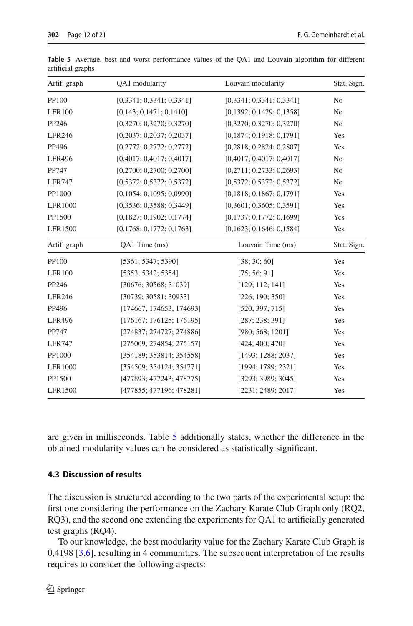| Artif. graph   | QA1 modularity              | Louvain modularity       | Stat. Sign.    |
|----------------|-----------------------------|--------------------------|----------------|
| PP100          | [0,3341; 0,3341; 0,3341]    | [0,3341; 0,3341; 0,3341] | No             |
| <b>LFR100</b>  | [0,143; 0,1471; 0,1410]     | [0,1392; 0,1429; 0,1358] | N <sub>0</sub> |
| PP246          | [0,3270; 0,3270; 0,3270]    | [0,3270; 0,3270; 0,3270] | N <sub>o</sub> |
| <b>LFR246</b>  | [0,2037; 0,2037; 0,2037]    | [0,1874; 0,1918; 0,1791] | Yes            |
| PP496          | [0,2772; 0,2772; 0,2772]    | [0,2818; 0,2824; 0,2807] | Yes            |
| <b>LFR496</b>  | [0,4017; 0,4017; 0,4017]    | [0,4017; 0,4017; 0,4017] | N <sub>0</sub> |
| PP747          | [0,2700; 0,2700; 0,2700]    | [0,2711; 0,2733; 0,2693] | N <sub>0</sub> |
| <b>LFR747</b>  | [0,5372; 0,5372; 0,5372]    | [0,5372; 0,5372; 0,5372] | N <sub>0</sub> |
| PP1000         | [0, 1054; 0, 1095; 0, 0990] | [0,1818; 0,1867; 0,1791] | Yes            |
| LFR1000        | [0,3536; 0,3588; 0,3449]    | [0,3601; 0,3605; 0,3591] | Yes            |
| PP1500         | [0,1827; 0,1902; 0,1774]    | [0,1737; 0,1772; 0,1699] | Yes            |
| LFR1500        | [0,1768; 0,1772; 0,1763]    | [0,1623; 0,1646; 0,1584] | Yes            |
| Artif. graph   | QA1 Time (ms)               | Louvain Time (ms)        | Stat. Sign.    |
| PP100          | [5361; 5347; 5390]          | [38; 30; 60]             | Yes            |
| <b>LFR100</b>  | [5353; 5342; 5354]          | [75; 56; 91]             | Yes            |
| PP246          | [30676; 30568; 31039]       | [129; 112; 141]          | Yes            |
| <b>LFR246</b>  | [30739; 30581; 30933]       | [226; 190; 350]          | Yes            |
| PP496          | [174667; 174653; 174693]    | [520; 397; 715]          | Yes            |
| <b>LFR496</b>  | [176167; 176125; 176195]    | [287; 238; 391]          | Yes            |
| PP747          | [274837; 274727; 274886]    | [980; 568; 1201]         | Yes            |
| <b>LFR747</b>  | [275009; 274854; 275157]    | [424; 400; 470]          | Yes            |
| PP1000         | [354189; 353814; 354558]    | [1493; 1288; 2037]       | Yes            |
| <b>LFR1000</b> | [354509; 354124; 354771]    | [1994; 1789; 2321]       | Yes            |
| PP1500         | [477893; 477243; 478775]    | [3293; 3989; 3045]       | Yes            |
| LFR1500        |                             |                          |                |

<span id="page-11-0"></span>**Table 5** Average, best and worst performance values of the QA1 and Louvain algorithm for different artificial graphs

are given in milliseconds. Table [5](#page-11-0) additionally states, whether the difference in the obtained modularity values can be considered as statistically significant.

#### **4.3 Discussion of results**

The discussion is structured according to the two parts of the experimental setup: the first one considering the performance on the Zachary Karate Club Graph only (RQ2, RQ3), and the second one extending the experiments for QA1 to artificially generated test graphs (RQ4).

To our knowledge, the best modularity value for the Zachary Karate Club Graph is  $0,4198$   $[3,6]$  $[3,6]$  $[3,6]$ , resulting in 4 communities. The subsequent interpretation of the results requires to consider the following aspects: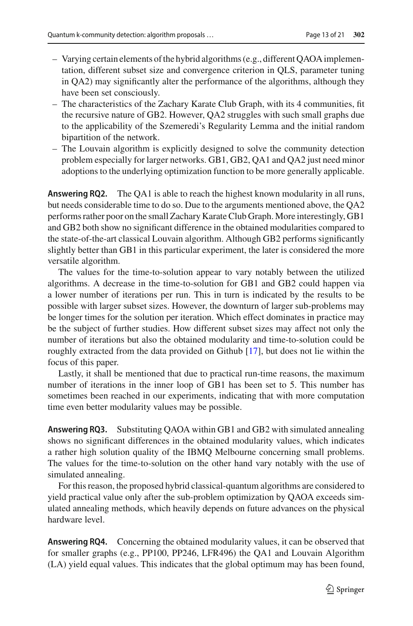- Varying certain elements of the hybrid algorithms (e.g., different QAOA implementation, different subset size and convergence criterion in QLS, parameter tuning in QA2) may significantly alter the performance of the algorithms, although they have been set consciously.
- The characteristics of the Zachary Karate Club Graph, with its 4 communities, fit the recursive nature of GB2. However, QA2 struggles with such small graphs due to the applicability of the Szemeredi's Regularity Lemma and the initial random bipartition of the network.
- The Louvain algorithm is explicitly designed to solve the community detection problem especially for larger networks. GB1, GB2, QA1 and QA2 just need minor adoptions to the underlying optimization function to be more generally applicable.

**Answering RQ2.** The QA1 is able to reach the highest known modularity in all runs, but needs considerable time to do so. Due to the arguments mentioned above, the QA2 performs rather poor on the small Zachary Karate Club Graph. More interestingly, GB1 and GB2 both show no significant difference in the obtained modularities compared to the state-of-the-art classical Louvain algorithm. Although GB2 performs significantly slightly better than GB1 in this particular experiment, the later is considered the more versatile algorithm.

The values for the time-to-solution appear to vary notably between the utilized algorithms. A decrease in the time-to-solution for GB1 and GB2 could happen via a lower number of iterations per run. This in turn is indicated by the results to be possible with larger subset sizes. However, the downturn of larger sub-problems may be longer times for the solution per iteration. Which effect dominates in practice may be the subject of further studies. How different subset sizes may affect not only the number of iterations but also the obtained modularity and time-to-solution could be roughly extracted from the data provided on Github [\[17\]](#page-19-15), but does not lie within the focus of this paper.

Lastly, it shall be mentioned that due to practical run-time reasons, the maximum number of iterations in the inner loop of GB1 has been set to 5. This number has sometimes been reached in our experiments, indicating that with more computation time even better modularity values may be possible.

**Answering RQ3.** Substituting QAOA within GB1 and GB2 with simulated annealing shows no significant differences in the obtained modularity values, which indicates a rather high solution quality of the IBMQ Melbourne concerning small problems. The values for the time-to-solution on the other hand vary notably with the use of simulated annealing.

For this reason, the proposed hybrid classical-quantum algorithms are considered to yield practical value only after the sub-problem optimization by QAOA exceeds simulated annealing methods, which heavily depends on future advances on the physical hardware level.

**Answering RQ4.** Concerning the obtained modularity values, it can be observed that for smaller graphs (e.g., PP100, PP246, LFR496) the QA1 and Louvain Algorithm (LA) yield equal values. This indicates that the global optimum may has been found,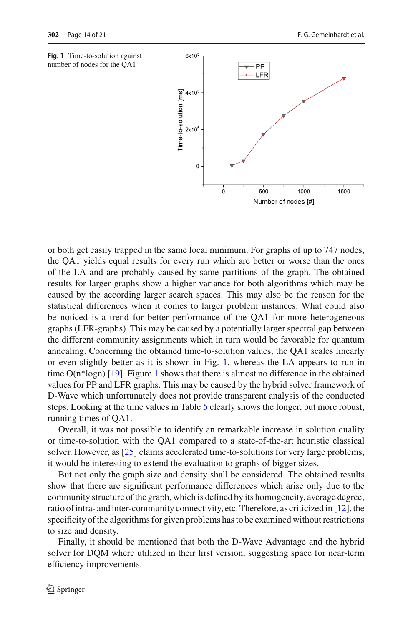<span id="page-13-0"></span>



or both get easily trapped in the same local minimum. For graphs of up to 747 nodes, the QA1 yields equal results for every run which are better or worse than the ones of the LA and are probably caused by same partitions of the graph. The obtained results for larger graphs show a higher variance for both algorithms which may be caused by the according larger search spaces. This may also be the reason for the statistical differences when it comes to larger problem instances. What could also be noticed is a trend for better performance of the QA1 for more heterogeneous graphs (LFR-graphs). This may be caused by a potentially larger spectral gap between the different community assignments which in turn would be favorable for quantum annealing. Concerning the obtained time-to-solution values, the QA1 scales linearly or even slightly better as it is shown in Fig. [1,](#page-13-0) whereas the LA appears to run in time O(n\*logn) [\[19\]](#page-19-8). Figure [1](#page-13-0) shows that there is almost no difference in the obtained values for PP and LFR graphs. This may be caused by the hybrid solver framework of D-Wave which unfortunately does not provide transparent analysis of the conducted steps. Looking at the time values in Table [5](#page-11-0) clearly shows the longer, but more robust, running times of QA1.

Overall, it was not possible to identify an remarkable increase in solution quality or time-to-solution with the QA1 compared to a state-of-the-art heuristic classical solver. However, as [\[25\]](#page-19-19) claims accelerated time-to-solutions for very large problems, it would be interesting to extend the evaluation to graphs of bigger sizes.

But not only the graph size and density shall be considered. The obtained results show that there are significant performance differences which arise only due to the community structure of the graph, which is defined by its homogeneity, average degree, ratio of intra- and inter-community connectivity, etc. Therefore, as criticized in [\[12\]](#page-19-6), the specificity of the algorithms for given problems has to be examined without restrictions to size and density.

Finally, it should be mentioned that both the D-Wave Advantage and the hybrid solver for DQM where utilized in their first version, suggesting space for near-term efficiency improvements.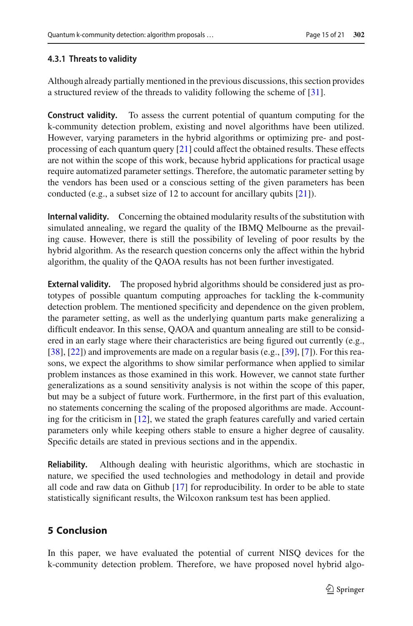### **4.3.1 Threats to validity**

Although already partially mentioned in the previous discussions, this section provides a structured review of the threads to validity following the scheme of [\[31\]](#page-19-20).

**Construct validity.** To assess the current potential of quantum computing for the k-community detection problem, existing and novel algorithms have been utilized. However, varying parameters in the hybrid algorithms or optimizing pre- and postprocessing of each quantum query  $[21]$  could affect the obtained results. These effects are not within the scope of this work, because hybrid applications for practical usage require automatized parameter settings. Therefore, the automatic parameter setting by the vendors has been used or a conscious setting of the given parameters has been conducted (e.g., a subset size of 12 to account for ancillary qubits [\[21\]](#page-19-21)).

**Internal validity.** Concerning the obtained modularity results of the substitution with simulated annealing, we regard the quality of the IBMQ Melbourne as the prevailing cause. However, there is still the possibility of leveling of poor results by the hybrid algorithm. As the research question concerns only the affect within the hybrid algorithm, the quality of the QAOA results has not been further investigated.

**External validity.** The proposed hybrid algorithms should be considered just as prototypes of possible quantum computing approaches for tackling the k-community detection problem. The mentioned specificity and dependence on the given problem, the parameter setting, as well as the underlying quantum parts make generalizing a difficult endeavor. In this sense, QAOA and quantum annealing are still to be considered in an early stage where their characteristics are being figured out currently (e.g., [\[38](#page-20-5)], [\[22](#page-19-22)]) and improvements are made on a regular basis (e.g., [\[39](#page-20-6)], [\[7](#page-19-23)]). For this reasons, we expect the algorithms to show similar performance when applied to similar problem instances as those examined in this work. However, we cannot state further generalizations as a sound sensitivity analysis is not within the scope of this paper, but may be a subject of future work. Furthermore, in the first part of this evaluation, no statements concerning the scaling of the proposed algorithms are made. Accounting for the criticism in [\[12](#page-19-6)], we stated the graph features carefully and varied certain parameters only while keeping others stable to ensure a higher degree of causality. Specific details are stated in previous sections and in the appendix.

**Reliability.** Although dealing with heuristic algorithms, which are stochastic in nature, we specified the used technologies and methodology in detail and provide all code and raw data on Github [\[17\]](#page-19-15) for reproducibility. In order to be able to state statistically significant results, the Wilcoxon ranksum test has been applied.

# <span id="page-14-0"></span>**5 Conclusion**

In this paper, we have evaluated the potential of current NISQ devices for the k-community detection problem. Therefore, we have proposed novel hybrid algo-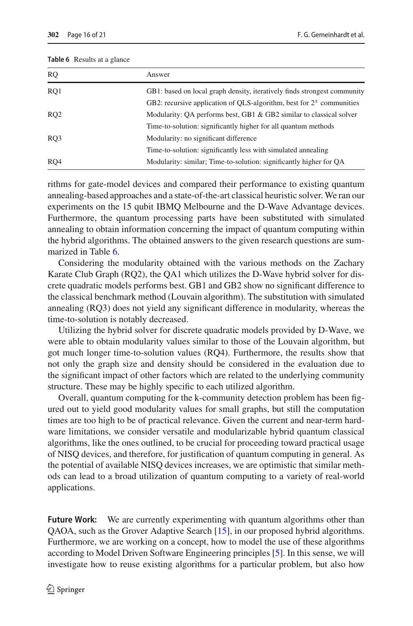| <b>RO</b>       | Answer                                                                   |
|-----------------|--------------------------------------------------------------------------|
| RO <sub>1</sub> | GB1: based on local graph density, iteratively finds strongest community |
|                 | GB2: recursive application of QLS-algorithm, best for $2^x$ communities  |
| RQ2             | Modularity: QA performs best, GB1 & GB2 similar to classical solver      |
|                 | Time-to-solution: significantly higher for all quantum methods           |
| RO3             | Modularity: no significant difference                                    |
|                 | Time-to-solution: significantly less with simulated annealing            |
| RO4             | Modularity: similar; Time-to-solution: significantly higher for QA       |

#### <span id="page-15-0"></span>**Table 6** Results at a glance

rithms for gate-model devices and compared their performance to existing quantum annealing-based approaches and a state-of-the-art classical heuristic solver. We ran our experiments on the 15 qubit IBMQ Melbourne and the D-Wave Advantage devices. Furthermore, the quantum processing parts have been substituted with simulated annealing to obtain information concerning the impact of quantum computing within the hybrid algorithms. The obtained answers to the given research questions are summarized in Table [6.](#page-15-0)

Considering the modularity obtained with the various methods on the Zachary Karate Club Graph (RQ2), the QA1 which utilizes the D-Wave hybrid solver for discrete quadratic models performs best. GB1 and GB2 show no significant difference to the classical benchmark method (Louvain algorithm). The substitution with simulated annealing (RQ3) does not yield any significant difference in modularity, whereas the time-to-solution is notably decreased.

Utilizing the hybrid solver for discrete quadratic models provided by D-Wave, we were able to obtain modularity values similar to those of the Louvain algorithm, but got much longer time-to-solution values (RQ4). Furthermore, the results show that not only the graph size and density should be considered in the evaluation due to the significant impact of other factors which are related to the underlying community structure. These may be highly specific to each utilized algorithm.

Overall, quantum computing for the k-community detection problem has been figured out to yield good modularity values for small graphs, but still the computation times are too high to be of practical relevance. Given the current and near-term hardware limitations, we consider versatile and modularizable hybrid quantum classical algorithms, like the ones outlined, to be crucial for proceeding toward practical usage of NISQ devices, and therefore, for justification of quantum computing in general. As the potential of available NISQ devices increases, we are optimistic that similar methods can lead to a broad utilization of quantum computing to a variety of real-world applications.

**Future Work:** We are currently experimenting with quantum algorithms other than QAOA, such as the Grover Adaptive Search [\[15](#page-19-10)], in our proposed hybrid algorithms. Furthermore, we are working on a concept, how to model the use of these algorithms according to Model Driven Software Engineering principles [\[5\]](#page-18-5). In this sense, we will investigate how to reuse existing algorithms for a particular problem, but also how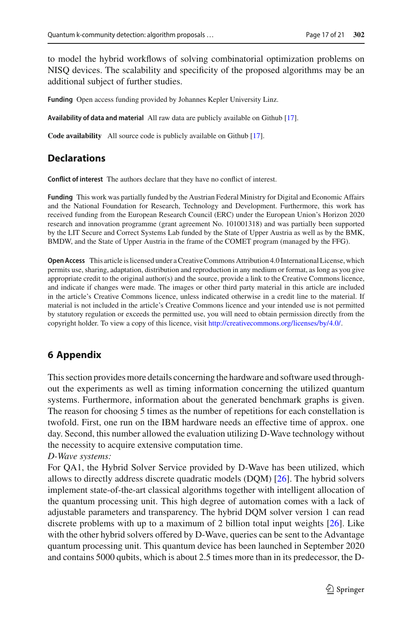to model the hybrid workflows of solving combinatorial optimization problems on NISQ devices. The scalability and specificity of the proposed algorithms may be an additional subject of further studies.

**Funding** Open access funding provided by Johannes Kepler University Linz.

**Availability of data and material** All raw data are publicly available on Github [\[17](#page-19-15)].

**Code availability** All source code is publicly available on Github [\[17](#page-19-15)].

### **Declarations**

**Conflict of interest** The authors declare that they have no conflict of interest.

**Funding** This work was partially funded by the Austrian Federal Ministry for Digital and Economic Affairs and the National Foundation for Research, Technology and Development. Furthermore, this work has received funding from the European Research Council (ERC) under the European Union's Horizon 2020 research and innovation programme (grant agreement No. 101001318) and was partially been supported by the LIT Secure and Correct Systems Lab funded by the State of Upper Austria as well as by the BMK, BMDW, and the State of Upper Austria in the frame of the COMET program (managed by the FFG).

**Open Access** This article is licensed under a Creative Commons Attribution 4.0 International License, which permits use, sharing, adaptation, distribution and reproduction in any medium or format, as long as you give appropriate credit to the original author(s) and the source, provide a link to the Creative Commons licence, and indicate if changes were made. The images or other third party material in this article are included in the article's Creative Commons licence, unless indicated otherwise in a credit line to the material. If material is not included in the article's Creative Commons licence and your intended use is not permitted by statutory regulation or exceeds the permitted use, you will need to obtain permission directly from the copyright holder. To view a copy of this licence, visit [http://creativecommons.org/licenses/by/4.0/.](http://creativecommons.org/licenses/by/4.0/)

# **6 Appendix**

This section provides more details concerning the hardware and software used throughout the experiments as well as timing information concerning the utilized quantum systems. Furthermore, information about the generated benchmark graphs is given. The reason for choosing 5 times as the number of repetitions for each constellation is twofold. First, one run on the IBM hardware needs an effective time of approx. one day. Second, this number allowed the evaluation utilizing D-Wave technology without the necessity to acquire extensive computation time.

*D-Wave systems:*

For QA1, the Hybrid Solver Service provided by D-Wave has been utilized, which allows to directly address discrete quadratic models (DQM) [\[26](#page-19-14)]. The hybrid solvers implement state-of-the-art classical algorithms together with intelligent allocation of the quantum processing unit. This high degree of automation comes with a lack of adjustable parameters and transparency. The hybrid DQM solver version 1 can read discrete problems with up to a maximum of 2 billion total input weights [\[26\]](#page-19-14). Like with the other hybrid solvers offered by D-Wave, queries can be sent to the Advantage quantum processing unit. This quantum device has been launched in September 2020 and contains 5000 qubits, which is about 2.5 times more than in its predecessor, the D-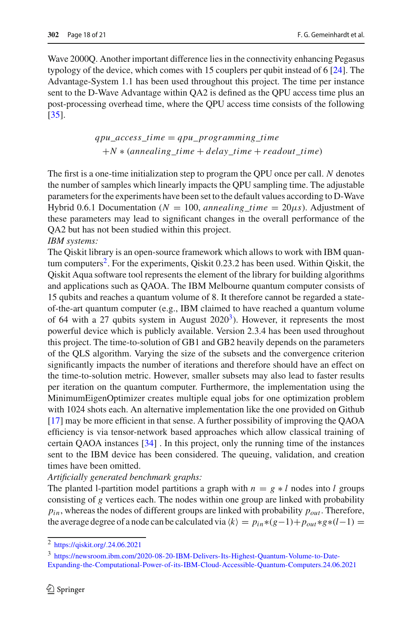Wave 2000Q. Another important difference lies in the connectivity enhancing Pegasus typology of the device, which comes with 15 couplers per qubit instead of 6 [\[24\]](#page-19-13). The Advantage-System 1.1 has been used throughout this project. The time per instance sent to the D-Wave Advantage within QA2 is defined as the QPU access time plus an post-processing overhead time, where the QPU access time consists of the following [\[35](#page-20-1)].

$$
qpu\_access\_time = qpu\_programming\_time
$$
  
+N \* (annealing\\_time + delay\\_time + readout\\_time)

The first is a one-time initialization step to program the QPU once per call. *N* denotes the number of samples which linearly impacts the QPU sampling time. The adjustable parameters for the experiments have been set to the default values according to D-Wave Hybrid 0.6.1 Documentation ( $N = 100$ , *annealing\_time* =  $20\mu s$ ). Adjustment of these parameters may lead to significant changes in the overall performance of the QA2 but has not been studied within this project.

*IBM systems:*

The Qiskit library is an open-source framework which allows to work with IBM quantum computers<sup>2</sup>. For the experiments, Qiskit 0.23.2 has been used. Within Qiskit, the Qiskit Aqua software tool represents the element of the library for building algorithms and applications such as QAOA. The IBM Melbourne quantum computer consists of 15 qubits and reaches a quantum volume of 8. It therefore cannot be regarded a stateof-the-art quantum computer (e.g., IBM claimed to have reached a quantum volume of 64 with a 27 qubits system in August  $2020<sup>3</sup>$ ). However, it represents the most powerful device which is publicly available. Version 2.3.4 has been used throughout this project. The time-to-solution of GB1 and GB2 heavily depends on the parameters of the QLS algorithm. Varying the size of the subsets and the convergence criterion significantly impacts the number of iterations and therefore should have an effect on the time-to-solution metric. However, smaller subsets may also lead to faster results per iteration on the quantum computer. Furthermore, the implementation using the MinimumEigenOptimizer creates multiple equal jobs for one optimization problem with 1024 shots each. An alternative implementation like the one provided on Github [\[17](#page-19-15)] may be more efficient in that sense. A further possibility of improving the QAOA efficiency is via tensor-network based approaches which allow classical training of certain QAOA instances [\[34\]](#page-20-7) . In this project, only the running time of the instances sent to the IBM device has been considered. The queuing, validation, and creation times have been omitted.

*Artificially generated benchmark graphs:*

The planted l-partition model partitions a graph with  $n = g * l$  nodes into *l* groups consisting of *g* vertices each. The nodes within one group are linked with probability  $p_{in}$ , whereas the nodes of different groups are linked with probability  $p_{out}$ . Therefore, the average degree of a node can be calculated via  $\langle k \rangle = p_{in} * (g-1) + p_{out} * g * (l-1) =$ 

<span id="page-17-0"></span><sup>2</sup> <https://qiskit.org/.24.06.2021>

<span id="page-17-1"></span><sup>3</sup> [https://newsroom.ibm.com/2020-08-20-IBM-Delivers-Its-Highest-Quantum-Volume-to-Date-](https://newsroom.ibm.com/2020-08-20-IBM-Delivers-Its-Highest-Quantum-Volume-to-Date-Expanding-the-Computational-Power-of-its-IBM-Cloud-Accessible-Quantum-Computers.24.06.2021)[Expanding-the-Computational-Power-of-its-IBM-Cloud-Accessible-Quantum-Computers.24.06.2021](https://newsroom.ibm.com/2020-08-20-IBM-Delivers-Its-Highest-Quantum-Volume-to-Date-Expanding-the-Computational-Power-of-its-IBM-Cloud-Accessible-Quantum-Computers.24.06.2021)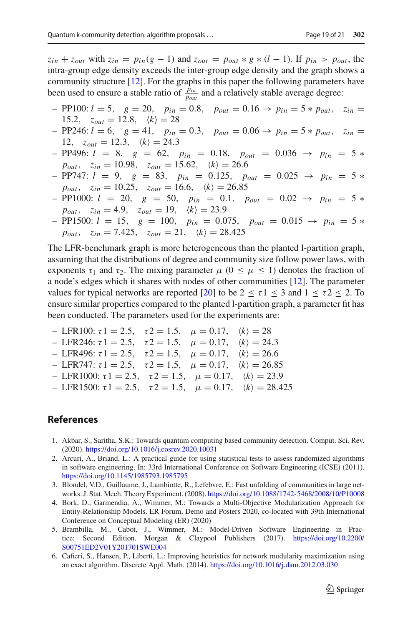$z_{in} + z_{out}$  with  $z_{in} = p_{in}(g - 1)$  and  $z_{out} = p_{out} * g * (l - 1)$ . If  $p_{in} > p_{out}$ , the intra-group edge density exceeds the inter-group edge density and the graph shows a community structure [\[12](#page-19-6)]. For the graphs in this paper the following parameters have been used to ensure a stable ratio of  $\frac{\bar{p}_{in}}{p_{out}}$  and a relatively stable average degree:

- PP100: *l* = 5, *g* = 20, *pin* = 0.8, *pout* = 0.16 → *pin* = 5 ∗ *pout*, *zin* =  $15.2, z_{out} = 12.8, \langle k \rangle = 28$
- PP246: *l* = 6, *g* = 41, *pin* = 0.3, *pout* = 0.06 → *pin* = 5 ∗ *pout*, *zin* = 12,  $z_{out} = 12.3, \quad \langle k \rangle = 24.3$
- PP496: *l* = 8, *g* = 62, *pin* = 0.18, *pout* = 0.036 → *pin* = 5 ∗  $p_{out}$ ,  $z_{in} = 10.98$ ,  $z_{out} = 15.62$ ,  $\langle k \rangle = 26.6$
- PP747: *l* = 9, *g* = 83, *pin* = 0.125, *pout* = 0.025 → *pin* = 5 ∗  $p_{out}$ ,  $z_{in} = 10.25$ ,  $z_{out} = 16.6$ ,  $\langle k \rangle = 26.85$
- PP1000: *l* = 20, *g* = 50, *pin* = 0.1, *pout* = 0.02 → *pin* = 5 ∗  $p_{out}$ ,  $z_{in} = 4.9$ ,  $z_{out} = 19$ ,  $\langle k \rangle = 23.9$
- PP1500: *l* = 15, *g* = 100, *pin* = 0.075, *pout* = 0.015 → *pin* = 5 ∗  $p_{out}$ ,  $z_{in} = 7.425$ ,  $z_{out} = 21$ ,  $\langle k \rangle = 28.425$

The LFR-benchmark graph is more heterogeneous than the planted l-partition graph, assuming that the distributions of degree and community size follow power laws, with exponents  $\tau_1$  and  $\tau_2$ . The mixing parameter  $\mu$  ( $0 \le \mu \le 1$ ) denotes the fraction of a node's edges which it shares with nodes of other communities [\[12\]](#page-19-6). The parameter values for typical networks are reported [\[20](#page-19-18)] to be  $2 \le \tau 1 \le 3$  and  $1 \le \tau 2 \le 2$ . To ensure similar properties compared to the planted l-partition graph, a parameter fit has been conducted. The parameters used for the experiments are:

- LFR100:  $τ1 = 2.5$ ,  $τ2 = 1.5$ ,  $μ = 0.17$ ,  $\langle k \rangle = 28$
- LFR246: τ1 = 2.5, τ2 = 1.5,  $\mu = 0.17$ ,  $\langle k \rangle = 24.3$
- LFR496: τ1 = 2.5, τ2 = 1.5,  $\mu = 0.17$ ,  $\langle k \rangle = 26.6$
- LFR747: τ1 = 2.5, τ2 = 1.5,  $\mu = 0.17$ ,  $\langle k \rangle = 26.85$
- LFR1000:  $τ1 = 2.5$ ,  $τ2 = 1.5$ ,  $μ = 0.17$ ,  $\langle k \rangle = 23.9$
- LFR1500: τ1 = 2.5, τ2 = 1.5,  $μ = 0.17$ ,  $\langle k \rangle = 28.425$

### **References**

- <span id="page-18-0"></span>1. Akbar, S., Saritha, S.K.: Towards quantum computing based community detection. Comput. Sci. Rev. (2020). <https://doi.org/10.1016/j.cosrev.2020.10031>
- <span id="page-18-4"></span>2. Arcuri, A., Briand, L.: A practical guide for using statistical tests to assess randomized algorithms in software engineering. In: 33rd International Conference on Software Engineering (ICSE) (2011). <https://doi.org/10.1145/1985793.1985795>
- <span id="page-18-2"></span>3. Blondel, V.D., Guillaume, J., Lambiotte, R., Lefebvre, E.: Fast unfolding of communities in large networks. J. Stat. Mech. Theory Experiment. (2008). <https://doi.org/10.1088/1742-5468/2008/10/P10008>
- <span id="page-18-1"></span>4. Bork, D., Garmendia, A., Wimmer, M.: Towards a Multi-Objective Modularization Approach for Entity-Relationship Models. ER Forum, Demo and Posters 2020, co-located with 39th International Conference on Conceptual Modeling (ER) (2020)
- <span id="page-18-5"></span>5. Brambilla, M., Cabot, J., Wimmer, M.: Model-Driven Software Engineering in Practice: Second Edition. Morgan & Claypool Publishers (2017). [https://doi.org/10.2200/](https://doi.org/10.2200/S00751ED2V01Y201701SWE004) [S00751ED2V01Y201701SWE004](https://doi.org/10.2200/S00751ED2V01Y201701SWE004)
- <span id="page-18-3"></span>6. Cafieri, S., Hansen, P., Liberti, L.: Improving heuristics for network modularity maximization using an exact algorithm. Discrete Appl. Math. (2014). <https://doi.org/10.1016/j.dam.2012.03.030>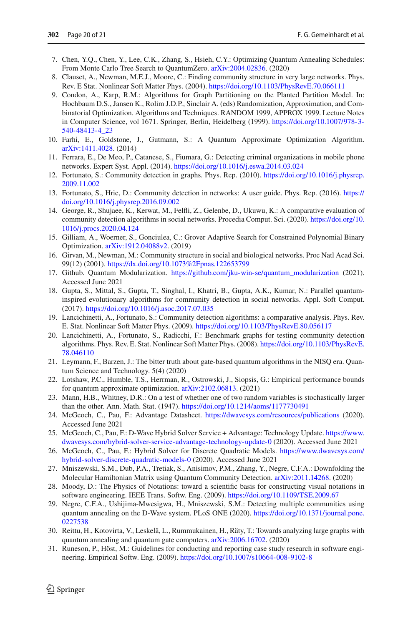- <span id="page-19-23"></span>7. Chen, Y.Q., Chen, Y., Lee, C.K., Zhang, S., Hsieh, C.Y.: Optimizing Quantum Annealing Schedules: From Monte Carlo Tree Search to QuantumZero. [arXiv:2004.02836.](http://arxiv.org/abs/2004.02836) (2020)
- <span id="page-19-5"></span>8. Clauset, A., Newman, M.E.J., Moore, C.: Finding community structure in very large networks. Phys. Rev. E Stat. Nonlinear Soft Matter Phys. (2004). <https://doi.org/10.1103/PhysRevE.70.066111>
- <span id="page-19-17"></span>9. Condon, A., Karp, R.M.: Algorithms for Graph Partitioning on the Planted Partition Model. In: Hochbaum D.S., Jansen K., Rolim J.D.P., Sinclair A. (eds) Randomization, Approximation, and Combinatorial Optimization. Algorithms and Techniques. RANDOM 1999, APPROX 1999. Lecture Notes in Computer Science, vol 1671. Springer, Berlin, Heidelberg (1999). [https://doi.org/10.1007/978-3-](https://doi.org/10.1007/978-3-540-48413-4_23) [540-48413-4\\_23](https://doi.org/10.1007/978-3-540-48413-4_23)
- <span id="page-19-9"></span>10. Farhi, E., Goldstone, J., Gutmann, S.: A Quantum Approximate Optimization Algorithm. [arXiv:1411.4028.](http://arxiv.org/abs/1411.4028) (2014)
- <span id="page-19-0"></span>11. Ferrara, E., De Meo, P., Catanese, S., Fiumara, G.: Detecting criminal organizations in mobile phone networks. Expert Syst. Appl. (2014). <https://doi.org/10.1016/j.eswa.2014.03.024>
- <span id="page-19-6"></span>12. Fortunato, S.: Community detection in graphs. Phys. Rep. (2010). [https://doi.org/10.1016/j.physrep.](https://doi.org/10.1016/j.physrep.2009.11.002) [2009.11.002](https://doi.org/10.1016/j.physrep.2009.11.002)
- 13. Fortunato, S., Hric, D.: Community detection in networks: A user guide. Phys. Rep. (2016). [https://](https://doi.org/10.1016/j.physrep.2016.09.002) [doi.org/10.1016/j.physrep.2016.09.002](https://doi.org/10.1016/j.physrep.2016.09.002)
- <span id="page-19-7"></span>14. George, R., Shujaee, K., Kerwat, M., Felfli, Z., Gelenbe, D., Ukuwu, K.: A comparative evaluation of community detection algorithms in social networks. Procedia Comput. Sci. (2020). [https://doi.org/10.](https://doi.org/10.1016/j.procs.2020.04.124) [1016/j.procs.2020.04.124](https://doi.org/10.1016/j.procs.2020.04.124)
- <span id="page-19-10"></span>15. Gilliam, A., Woerner, S., Gonciulea, C.: Grover Adaptive Search for Constrained Polynomial Binary Optimization. [arXiv:1912.04088v2.](http://arxiv.org/abs/1912.04088v2) (2019)
- <span id="page-19-2"></span>16. Girvan, M., Newman, M.: Community structure in social and biological networks. Proc Natl Acad Sci. 99(12) (2001). <https://dx.doi.org/10.1073%2Fpnas.122653799>
- <span id="page-19-15"></span>17. Github. Quantum Modularization. [https://github.com/jku-win-se/quantum\\_modularization](https://github.com/jku-win-se/quantum_modularization) (2021). Accessed June 2021
- <span id="page-19-11"></span>18. Gupta, S., Mittal, S., Gupta, T., Singhal, I., Khatri, B., Gupta, A.K., Kumar, N.: Parallel quantuminspired evolutionary algorithms for community detection in social networks. Appl. Soft Comput. (2017). <https://doi.org/10.1016/j.asoc.2017.07.035>
- <span id="page-19-8"></span>19. Lancichinetti, A., Fortunato, S.: Community detection algorithms: a comparative analysis. Phys. Rev. E. Stat. Nonlinear Soft Matter Phys. (2009). <https://doi.org/10.1103/PhysRevE.80.056117>
- <span id="page-19-18"></span>20. Lancichinetti, A., Fortunato, S., Radicchi, F.: Benchmark graphs for testing community detection algorithms. Phys. Rev. E. Stat. Nonlinear Soft Matter Phys. (2008). [https://doi.org/10.1103/PhysRevE.](https://doi.org/10.1103/PhysRevE.78.046110) [78.046110](https://doi.org/10.1103/PhysRevE.78.046110)
- <span id="page-19-21"></span>21. Leymann, F., Barzen, J.: The bitter truth about gate-based quantum algorithms in the NISQ era. Quantum Science and Technology. 5(4) (2020)
- <span id="page-19-22"></span>22. Lotshaw, P.C., Humble, T.S., Herrman, R., Ostrowski, J., Siopsis, G.: Empirical performance bounds for quantum approximate optimization. [arXiv:2102.06813.](http://arxiv.org/abs/2102.06813) (2021)
- <span id="page-19-16"></span>23. Mann, H.B., Whitney, D.R.: On a test of whether one of two random variables is stochastically larger than the other. Ann. Math. Stat. (1947). <https://doi.org/10.1214/aoms/1177730491>
- <span id="page-19-13"></span>24. McGeoch, C., Pau, F.: Advantage Datasheet. <https://dwavesys.com/resources/publications> (2020). Accessed June 2021
- <span id="page-19-19"></span>25. McGeoch, C., Pau, F.: D-Wave Hybrid Solver Service + Advantage: Technology Update. [https://www.](https://www.dwavesys.com/hybrid-solver-service-advantage-technology-update-0) [dwavesys.com/hybrid-solver-service-advantage-technology-update-0](https://www.dwavesys.com/hybrid-solver-service-advantage-technology-update-0) (2020). Accessed June 2021
- <span id="page-19-14"></span>26. McGeoch, C., Pau, F.: Hybrid Solver for Discrete Quadratic Models. [https://www.dwavesys.com/](https://www.dwavesys.com/hybrid-solver-discrete-quadratic-models-0) [hybrid-solver-discrete-quadratic-models-0](https://www.dwavesys.com/hybrid-solver-discrete-quadratic-models-0) (2020). Accessed June 2021
- <span id="page-19-3"></span>27. Mniszewski, S.M., Dub, P.A., Tretiak, S., Anisimov, P.M., Zhang, Y., Negre, C.F.A.: Downfolding the Molecular Hamiltonian Matrix using Quantum Community Detection. [arXiv:2011.14268.](http://arxiv.org/abs/2011.14268) (2020)
- <span id="page-19-4"></span>28. Moody, D.: The Physics of Notations: toward a scientific basis for constructing visual notations in software engineering. IEEE Trans. Softw. Eng. (2009). <https://doi.org/10.1109/TSE.2009.67>
- <span id="page-19-1"></span>29. Negre, C.F.A., Ushijima-Mwesigwa, H., Mniszewski, S.M.: Detecting multiple communities using quantum annealing on the D-Wave system. PLoS ONE (2020). [https://doi.org/10.1371/journal.pone.](https://doi.org/10.1371/journal.pone.0227538) [0227538](https://doi.org/10.1371/journal.pone.0227538)
- <span id="page-19-12"></span>30. Reittu, H., Kotovirta, V., Leskelä, L., Rummukainen, H., Räty, T.: Towards analyzing large graphs with quantum annealing and quantum gate computers. [arXiv:2006.16702.](http://arxiv.org/abs/2006.16702) (2020)
- <span id="page-19-20"></span>31. Runeson, P., Höst, M.: Guidelines for conducting and reporting case study research in software engineering. Empirical Softw. Eng. (2009). <https://doi.org/10.1007/s10664-008-9102-8>